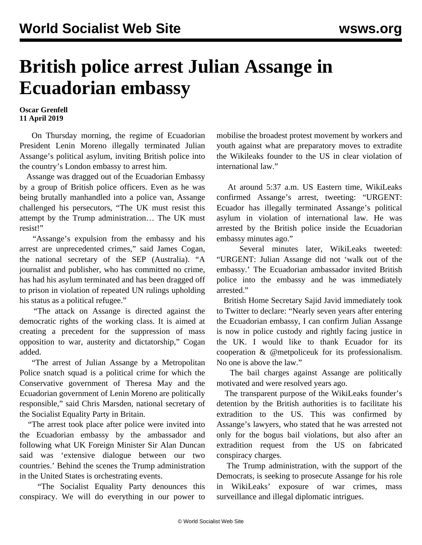## **British police arrest Julian Assange in Ecuadorian embassy**

## **Oscar Grenfell 11 April 2019**

 On Thursday morning, the regime of Ecuadorian President Lenin Moreno illegally terminated Julian Assange's political asylum, inviting British police into the country's London embassy to arrest him.

 Assange was dragged out of the Ecuadorian Embassy by a group of British police officers. Even as he was being brutally manhandled into a police van, Assange challenged his persecutors, "The UK must resist this attempt by the Trump administration… The UK must resist!"

 "Assange's expulsion from the embassy and his arrest are unprecedented crimes," said James Cogan, the national secretary of the SEP (Australia). "A journalist and publisher, who has committed no crime, has had his asylum terminated and has been dragged off to prison in violation of repeated UN rulings upholding his status as a political refugee."

 "The attack on Assange is directed against the democratic rights of the working class. It is aimed at creating a precedent for the suppression of mass opposition to war, austerity and dictatorship," Cogan added.

 "The arrest of Julian Assange by a Metropolitan Police snatch squad is a political crime for which the Conservative government of Theresa May and the Ecuadorian government of Lenin Moreno are politically responsible," said Chris Marsden, national secretary of the Socialist Equality Party in Britain.

 "The arrest took place after police were invited into the Ecuadorian embassy by the ambassador and following what UK Foreign Minister Sir Alan Duncan said was 'extensive dialogue between our two countries.' Behind the scenes the Trump administration in the United States is orchestrating events.

 "The Socialist Equality Party denounces this conspiracy. We will do everything in our power to mobilise the broadest protest movement by workers and youth against what are preparatory moves to extradite the Wikileaks founder to the US in clear violation of international law."

 At around 5:37 a.m. US Eastern time, WikiLeaks confirmed Assange's arrest, tweeting: "URGENT: Ecuador has illegally terminated Assange's political asylum in violation of international law. He was arrested by the British police inside the Ecuadorian embassy minutes ago."

 Several minutes later, WikiLeaks tweeted: "URGENT: Julian Assange did not 'walk out of the embassy.' The Ecuadorian ambassador invited British police into the embassy and he was immediately arrested."

 British Home Secretary Sajid Javid immediately took to Twitter to declare: "Nearly seven years after entering the Ecuadorian embassy, I can confirm Julian Assange is now in police custody and rightly facing justice in the UK. I would like to thank Ecuador for its cooperation & @metpoliceuk for its professionalism. No one is above the law."

 The bail charges against Assange are politically motivated and were resolved years ago.

 The transparent purpose of the WikiLeaks founder's detention by the British authorities is to facilitate his extradition to the US. This was confirmed by Assange's lawyers, who stated that he was arrested not only for the bogus bail violations, but also after an extradition request from the US on fabricated conspiracy charges.

 The Trump administration, with the support of the Democrats, is seeking to prosecute Assange for his role in WikiLeaks' exposure of war crimes, mass surveillance and illegal diplomatic intrigues.